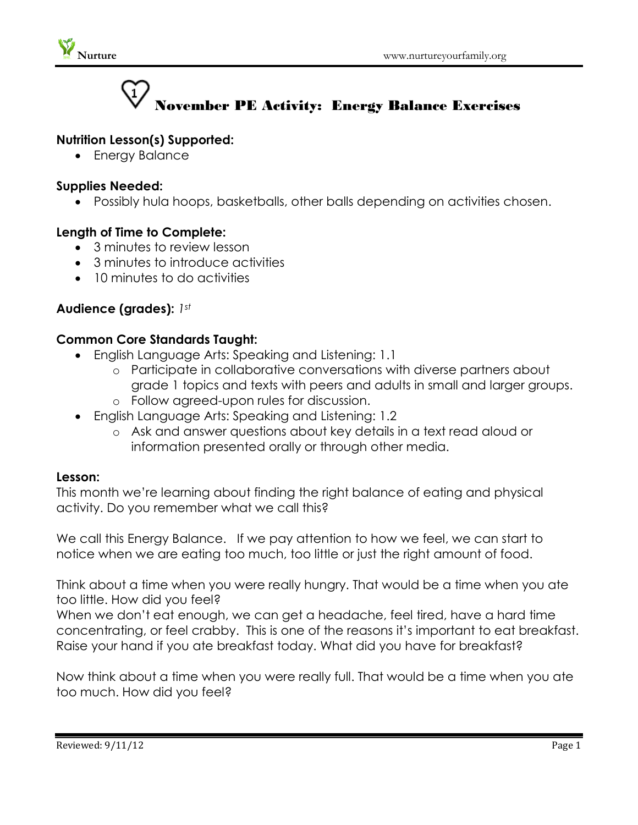

# November PE Activity: Energy Balance Exercises

# **Nutrition Lesson(s) Supported:**

• Energy Balance

#### **Supplies Needed:**

Possibly hula hoops, basketballs, other balls depending on activities chosen.

## **Length of Time to Complete:**

- 3 minutes to review lesson
- 3 minutes to introduce activities
- 10 minutes to do activities

## **Audience (grades):** *1st*

#### **Common Core Standards Taught:**

- English Language Arts: Speaking and Listening: 1.1
	- o Participate in collaborative conversations with diverse partners about grade 1 topics and texts with peers and adults in small and larger groups.
	- o Follow agreed-upon rules for discussion.
- English Language Arts: Speaking and Listening: 1.2
	- o Ask and answer questions about key details in a text read aloud or information presented orally or through other media.

#### **Lesson:**

This month we're learning about finding the right balance of eating and physical activity. Do you remember what we call this?

We call this Energy Balance. If we pay attention to how we feel, we can start to notice when we are eating too much, too little or just the right amount of food.

Think about a time when you were really hungry. That would be a time when you ate too little. How did you feel?

When we don't eat enough, we can get a headache, feel tired, have a hard time concentrating, or feel crabby. This is one of the reasons it's important to eat breakfast. Raise your hand if you ate breakfast today. What did you have for breakfast?

Now think about a time when you were really full. That would be a time when you ate too much. How did you feel?